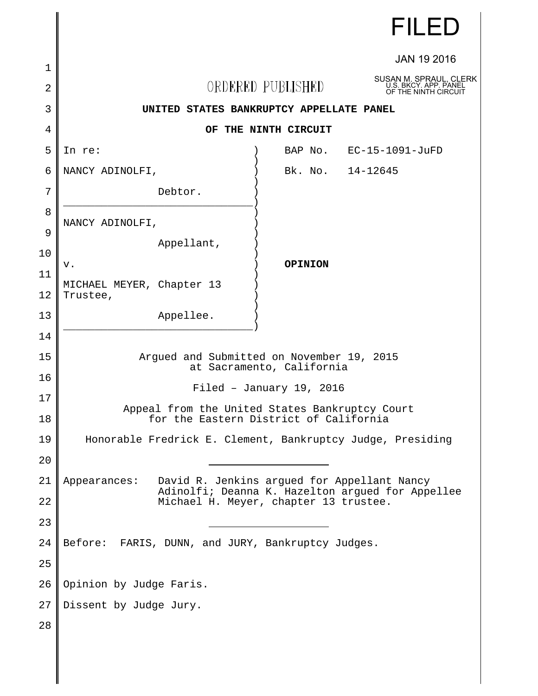|    |                                                                                                                 |                   | <b>FILED</b>                                                            |
|----|-----------------------------------------------------------------------------------------------------------------|-------------------|-------------------------------------------------------------------------|
| 1  |                                                                                                                 |                   | <b>JAN 19 2016</b>                                                      |
| 2  |                                                                                                                 | ORDERED PUBLISHED | SUSAN M. SPRAUL, CLERK<br>U.S. BKCY. APP. PANEL<br>OF THE NINTH CIRCUIT |
| 3  | UNITED STATES BANKRUPTCY APPELLATE PANEL                                                                        |                   |                                                                         |
| 4  | OF THE NINTH CIRCUIT                                                                                            |                   |                                                                         |
| 5  | In re:                                                                                                          |                   | BAP No. EC-15-1091-JuFD                                                 |
| 6  | NANCY ADINOLFI,                                                                                                 | Bk. No. 14-12645  |                                                                         |
| 7  | Debtor.                                                                                                         |                   |                                                                         |
| 8  |                                                                                                                 |                   |                                                                         |
| 9  | NANCY ADINOLFI,                                                                                                 |                   |                                                                         |
| 10 | Appellant,                                                                                                      |                   |                                                                         |
| 11 | v.                                                                                                              | <b>OPINION</b>    |                                                                         |
| 12 | MICHAEL MEYER, Chapter 13<br>Trustee,                                                                           |                   |                                                                         |
| 13 | Appellee.                                                                                                       |                   |                                                                         |
| 14 |                                                                                                                 |                   |                                                                         |
| 15 | Argued and Submitted on November 19, 2015<br>at Sacramento, California                                          |                   |                                                                         |
| 16 | Filed - January 19, 2016                                                                                        |                   |                                                                         |
| 17 | Appeal from the United States Bankruptcy Court                                                                  |                   |                                                                         |
| 18 | for the Eastern District of California                                                                          |                   |                                                                         |
| 19 | Honorable Fredrick E. Clement, Bankruptcy Judge, Presiding                                                      |                   |                                                                         |
| 20 |                                                                                                                 |                   |                                                                         |
| 21 | Appearances:<br>David R. Jenkins argued for Appellant Nancy<br>Adinolfi; Deanna K. Hazelton argued for Appellee |                   |                                                                         |
| 22 | Michael H. Meyer, chapter 13 trustee.                                                                           |                   |                                                                         |
| 23 |                                                                                                                 |                   |                                                                         |
| 24 | Before: FARIS, DUNN, and JURY, Bankruptcy Judges.                                                               |                   |                                                                         |
| 25 |                                                                                                                 |                   |                                                                         |
| 26 | Opinion by Judge Faris.                                                                                         |                   |                                                                         |
| 27 | Dissent by Judge Jury.                                                                                          |                   |                                                                         |
| 28 |                                                                                                                 |                   |                                                                         |
|    |                                                                                                                 |                   |                                                                         |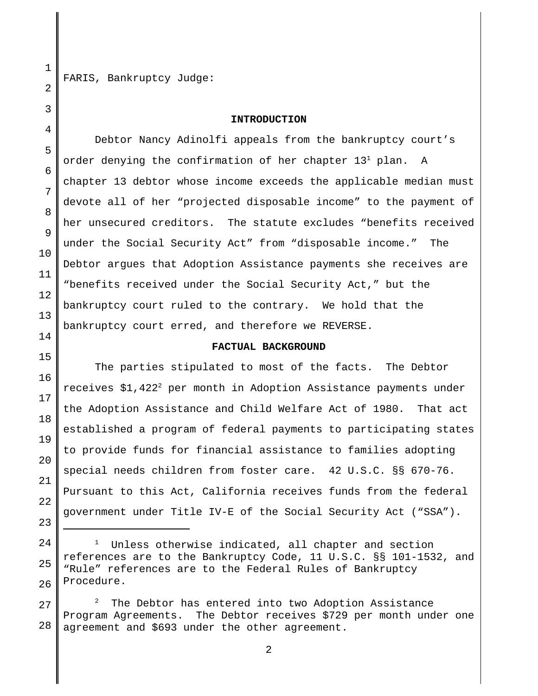FARIS, Bankruptcy Judge:

#### **INTRODUCTION**

Debtor Nancy Adinolfi appeals from the bankruptcy court's order denying the confirmation of her chapter  $13^1$  plan. A chapter 13 debtor whose income exceeds the applicable median must devote all of her "projected disposable income" to the payment of her unsecured creditors. The statute excludes "benefits received under the Social Security Act" from "disposable income." The Debtor argues that Adoption Assistance payments she receives are "benefits received under the Social Security Act," but the bankruptcy court ruled to the contrary. We hold that the bankruptcy court erred, and therefore we REVERSE.

#### **FACTUAL BACKGROUND**

The parties stipulated to most of the facts. The Debtor receives  $$1,422^2$  per month in Adoption Assistance payments under the Adoption Assistance and Child Welfare Act of 1980. That act established a program of federal payments to participating states to provide funds for financial assistance to families adopting special needs children from foster care. 42 U.S.C. §§ 670-76. Pursuant to this Act, California receives funds from the federal government under Title IV-E of the Social Security Act ("SSA").

<sup>1</sup> Unless otherwise indicated, all chapter and section references are to the Bankruptcy Code, 11 U.S.C. §§ 101-1532, and "Rule" references are to the Federal Rules of Bankruptcy Procedure.

<sup>2</sup> The Debtor has entered into two Adoption Assistance Program Agreements. The Debtor receives \$729 per month under one agreement and \$693 under the other agreement.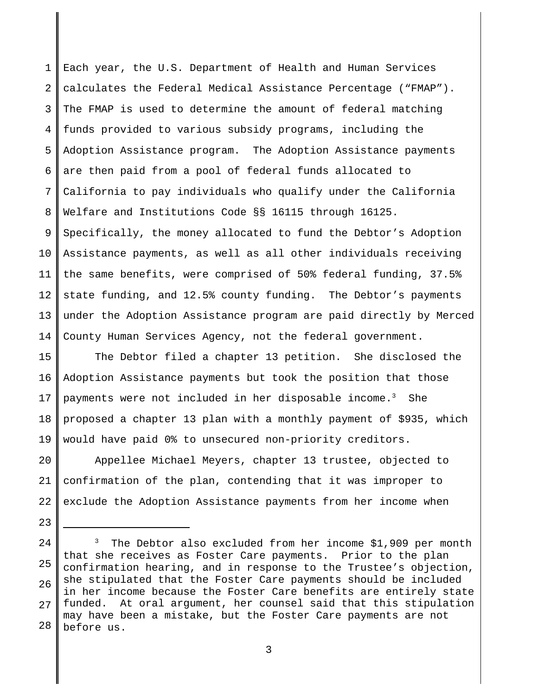1 2 3 4 5 6 7 8 9 10 11 12 13 14 Each year, the U.S. Department of Health and Human Services calculates the Federal Medical Assistance Percentage ("FMAP"). The FMAP is used to determine the amount of federal matching funds provided to various subsidy programs, including the Adoption Assistance program. The Adoption Assistance payments are then paid from a pool of federal funds allocated to California to pay individuals who qualify under the California Welfare and Institutions Code §§ 16115 through 16125. Specifically, the money allocated to fund the Debtor's Adoption Assistance payments, as well as all other individuals receiving the same benefits, were comprised of 50% federal funding, 37.5% state funding, and 12.5% county funding. The Debtor's payments under the Adoption Assistance program are paid directly by Merced County Human Services Agency, not the federal government.

15 16 17 18 19 The Debtor filed a chapter 13 petition. She disclosed the Adoption Assistance payments but took the position that those payments were not included in her disposable income. $3$  She proposed a chapter 13 plan with a monthly payment of \$935, which would have paid 0% to unsecured non-priority creditors.

20 21 22 Appellee Michael Meyers, chapter 13 trustee, objected to confirmation of the plan, contending that it was improper to exclude the Adoption Assistance payments from her income when

23

<sup>24</sup> 25 26 27 28 3 The Debtor also excluded from her income \$1,909 per month that she receives as Foster Care payments. Prior to the plan confirmation hearing, and in response to the Trustee's objection, she stipulated that the Foster Care payments should be included in her income because the Foster Care benefits are entirely state funded. At oral argument, her counsel said that this stipulation may have been a mistake, but the Foster Care payments are not before us.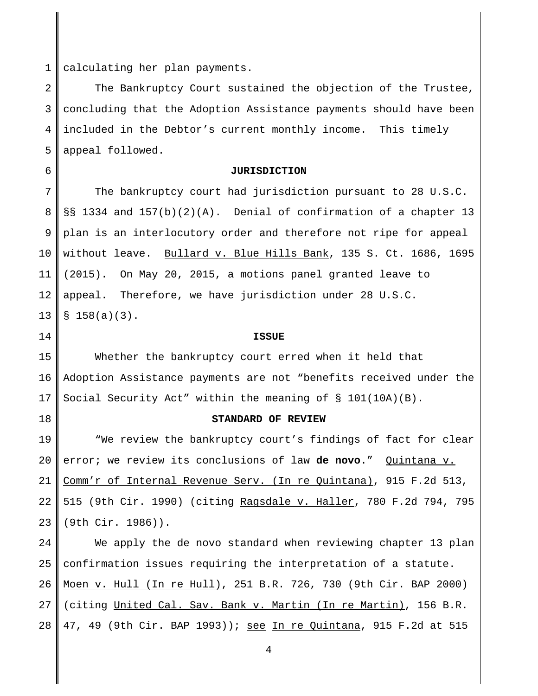1 calculating her plan payments.

2 3 4 5 The Bankruptcy Court sustained the objection of the Trustee, concluding that the Adoption Assistance payments should have been included in the Debtor's current monthly income. This timely appeal followed.

6

### **JURISDICTION**

7 8 9 10 11 12 13 The bankruptcy court had jurisdiction pursuant to 28 U.S.C. §§ 1334 and 157(b)(2)(A). Denial of confirmation of a chapter 13 plan is an interlocutory order and therefore not ripe for appeal without leave. Bullard v. Blue Hills Bank, 135 S. Ct. 1686, 1695 (2015). On May 20, 2015, a motions panel granted leave to appeal. Therefore, we have jurisdiction under 28 U.S.C.  $$158(a)(3)$ .

14

#### **ISSUE**

15 16 17 Whether the bankruptcy court erred when it held that Adoption Assistance payments are not "benefits received under the Social Security Act" within the meaning of § 101(10A)(B).

18

#### **STANDARD OF REVIEW**

19 20 21 22 23 "We review the bankruptcy court's findings of fact for clear error; we review its conclusions of law **de novo**." Quintana v. Comm'r of Internal Revenue Serv. (In re Quintana), 915 F.2d 513, 515 (9th Cir. 1990) (citing Ragsdale v. Haller, 780 F.2d 794, 795 (9th Cir. 1986)).

 $2.4$ 25 26 27 28 We apply the de novo standard when reviewing chapter 13 plan confirmation issues requiring the interpretation of a statute. Moen v. Hull (In re Hull), 251 B.R. 726, 730 (9th Cir. BAP 2000) (citing United Cal. Sav. Bank v. Martin (In re Martin), 156 B.R. 47, 49 (9th Cir. BAP 1993)); see In re Quintana, 915 F.2d at 515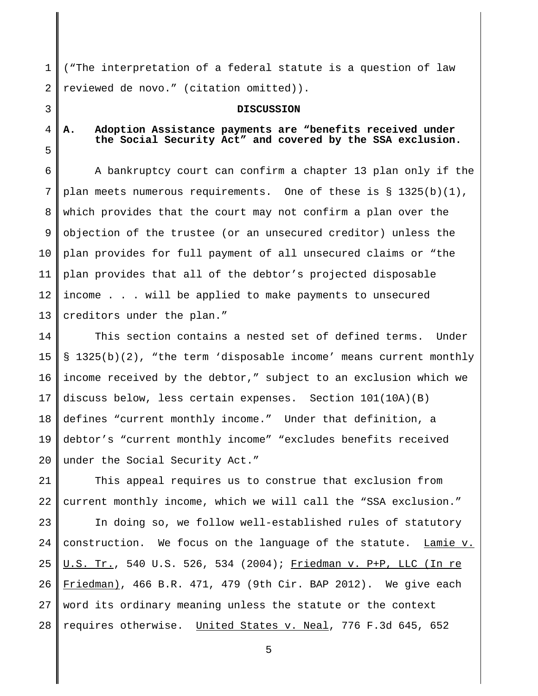1 2 ("The interpretation of a federal statute is a question of law reviewed de novo." (citation omitted)).

#### **DISCUSSION**

# 4

5

3

## **A. Adoption Assistance payments are "benefits received under the Social Security Act" and covered by the SSA exclusion.**

6 7 8 9 10 11 12 13 A bankruptcy court can confirm a chapter 13 plan only if the plan meets numerous requirements. One of these is § 1325(b)(1), which provides that the court may not confirm a plan over the objection of the trustee (or an unsecured creditor) unless the plan provides for full payment of all unsecured claims or "the plan provides that all of the debtor's projected disposable income . . . will be applied to make payments to unsecured creditors under the plan."

14 15 16 17 18 19 20 This section contains a nested set of defined terms. Under § 1325(b)(2), "the term 'disposable income' means current monthly income received by the debtor," subject to an exclusion which we discuss below, less certain expenses. Section 101(10A)(B) defines "current monthly income." Under that definition, a debtor's "current monthly income" "excludes benefits received under the Social Security Act."

21 22 This appeal requires us to construe that exclusion from current monthly income, which we will call the "SSA exclusion."

23 24 25 26 27 28 In doing so, we follow well-established rules of statutory construction. We focus on the language of the statute. Lamie v. U.S. Tr., 540 U.S. 526, 534 (2004); Friedman v. P+P, LLC (In re Friedman), 466 B.R. 471, 479 (9th Cir. BAP 2012). We give each word its ordinary meaning unless the statute or the context requires otherwise. United States v. Neal, 776 F.3d 645, 652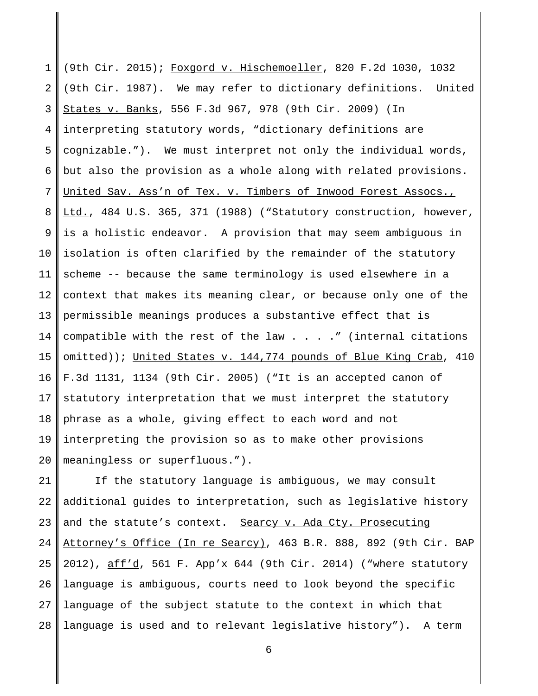1 2 3 4 5 6 7 8 9 10 11 12 13 14 15 16 17 18 19 20 (9th Cir. 2015); Foxgord v. Hischemoeller, 820 F.2d 1030, 1032 (9th Cir. 1987). We may refer to dictionary definitions. United States v. Banks, 556 F.3d 967, 978 (9th Cir. 2009) (In interpreting statutory words, "dictionary definitions are cognizable."). We must interpret not only the individual words, but also the provision as a whole along with related provisions. United Sav. Ass'n of Tex. v. Timbers of Inwood Forest Assocs., Ltd., 484 U.S. 365, 371 (1988) ("Statutory construction, however, is a holistic endeavor. A provision that may seem ambiguous in isolation is often clarified by the remainder of the statutory scheme -- because the same terminology is used elsewhere in a context that makes its meaning clear, or because only one of the permissible meanings produces a substantive effect that is compatible with the rest of the law  $\ldots$  ... ." (internal citations omitted)); United States v. 144,774 pounds of Blue King Crab, 410 F.3d 1131, 1134 (9th Cir. 2005) ("It is an accepted canon of statutory interpretation that we must interpret the statutory phrase as a whole, giving effect to each word and not interpreting the provision so as to make other provisions meaningless or superfluous.").

21 22 23  $2.4$ 25 26 27 28 If the statutory language is ambiguous, we may consult additional guides to interpretation, such as legislative history and the statute's context. Searcy v. Ada Cty. Prosecuting Attorney's Office (In re Searcy), 463 B.R. 888, 892 (9th Cir. BAP 2012), aff'd, 561 F. App'x 644 (9th Cir. 2014) ("where statutory language is ambiguous, courts need to look beyond the specific language of the subject statute to the context in which that language is used and to relevant legislative history"). A term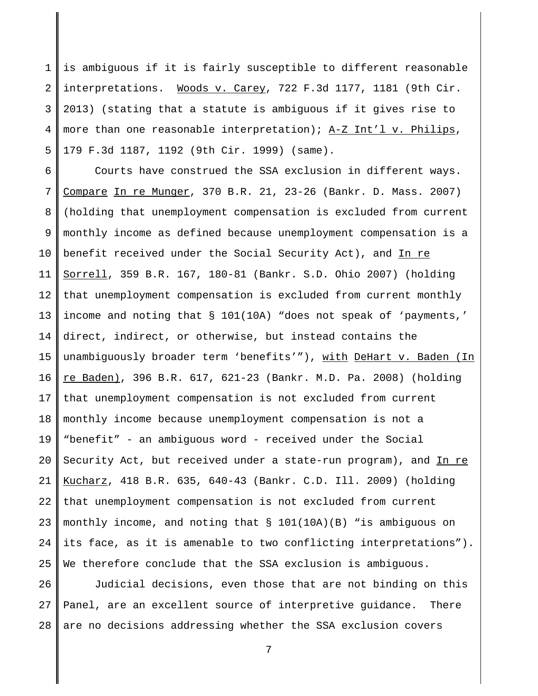1 2 3 4 5 is ambiguous if it is fairly susceptible to different reasonable interpretations. Woods v. Carey, 722 F.3d 1177, 1181 (9th Cir. 2013) (stating that a statute is ambiguous if it gives rise to more than one reasonable interpretation); A-Z Int'l v. Philips, 179 F.3d 1187, 1192 (9th Cir. 1999) (same).

6 7 8 9 10 11 12 13 14 15 16 17 18 19 20 21 22 23 24 25 Courts have construed the SSA exclusion in different ways. Compare In re Munger, 370 B.R. 21, 23-26 (Bankr. D. Mass. 2007) (holding that unemployment compensation is excluded from current monthly income as defined because unemployment compensation is a benefit received under the Social Security Act), and In re Sorrell, 359 B.R. 167, 180-81 (Bankr. S.D. Ohio 2007) (holding that unemployment compensation is excluded from current monthly income and noting that § 101(10A) "does not speak of 'payments,' direct, indirect, or otherwise, but instead contains the unambiguously broader term 'benefits'"), with DeHart v. Baden (In re Baden), 396 B.R. 617, 621-23 (Bankr. M.D. Pa. 2008) (holding that unemployment compensation is not excluded from current monthly income because unemployment compensation is not a "benefit" - an ambiguous word - received under the Social Security Act, but received under a state-run program), and In re Kucharz, 418 B.R. 635, 640-43 (Bankr. C.D. Ill. 2009) (holding that unemployment compensation is not excluded from current monthly income, and noting that § 101(10A)(B) "is ambiguous on its face, as it is amenable to two conflicting interpretations"). We therefore conclude that the SSA exclusion is ambiguous.

26 27 28 Judicial decisions, even those that are not binding on this Panel, are an excellent source of interpretive guidance. There are no decisions addressing whether the SSA exclusion covers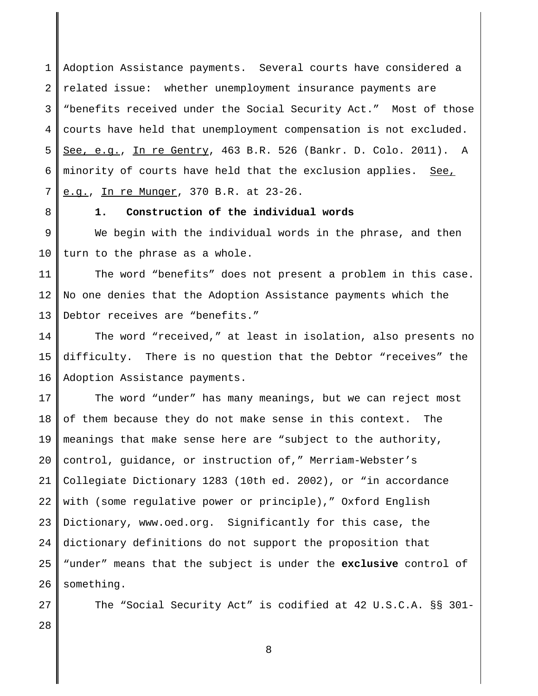1 2 3 4 5 6 7 Adoption Assistance payments. Several courts have considered a related issue: whether unemployment insurance payments are "benefits received under the Social Security Act." Most of those courts have held that unemployment compensation is not excluded. See, e.g., In re Gentry, 463 B.R. 526 (Bankr. D. Colo. 2011). A minority of courts have held that the exclusion applies. See, e.g., In re Munger, 370 B.R. at 23-26.

8

### **1. Construction of the individual words**

9 10 We begin with the individual words in the phrase, and then turn to the phrase as a whole.

11 12 13 The word "benefits" does not present a problem in this case. No one denies that the Adoption Assistance payments which the Debtor receives are "benefits."

14 15 16 The word "received," at least in isolation, also presents no difficulty. There is no question that the Debtor "receives" the Adoption Assistance payments.

17 18 19 20 21 22 23 24 25 26 The word "under" has many meanings, but we can reject most of them because they do not make sense in this context. The meanings that make sense here are "subject to the authority, control, guidance, or instruction of," Merriam-Webster's Collegiate Dictionary 1283 (10th ed. 2002), or "in accordance with (some regulative power or principle)," Oxford English Dictionary, www.oed.org. Significantly for this case, the dictionary definitions do not support the proposition that "under" means that the subject is under the **exclusive** control of something.

27 28 The "Social Security Act" is codified at 42 U.S.C.A. §§ 301-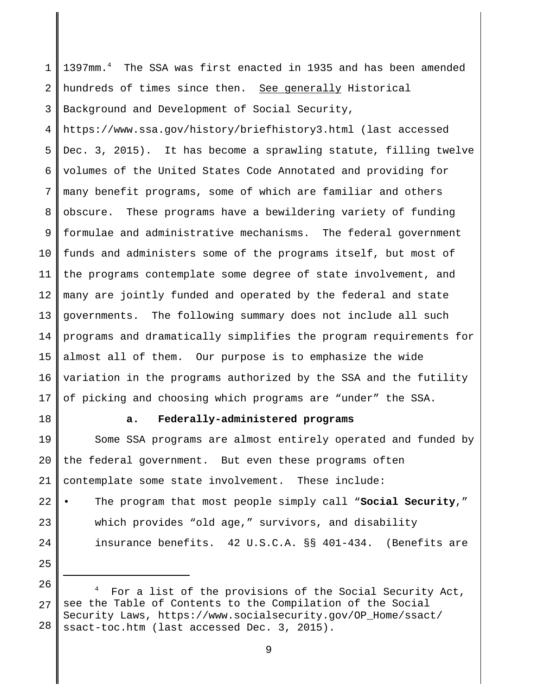1 2 3 1397mm.4 The SSA was first enacted in 1935 and has been amended hundreds of times since then. See generally Historical Background and Development of Social Security,

4 5 6 7 8 9 10 11 12 13 14 15 16 17 https://www.ssa.gov/history/briefhistory3.html (last accessed Dec. 3, 2015). It has become a sprawling statute, filling twelve volumes of the United States Code Annotated and providing for many benefit programs, some of which are familiar and others obscure. These programs have a bewildering variety of funding formulae and administrative mechanisms. The federal government funds and administers some of the programs itself, but most of the programs contemplate some degree of state involvement, and many are jointly funded and operated by the federal and state governments. The following summary does not include all such programs and dramatically simplifies the program requirements for almost all of them. Our purpose is to emphasize the wide variation in the programs authorized by the SSA and the futility of picking and choosing which programs are "under" the SSA.

18

25

### **a. Federally-administered programs**

19 20 21 Some SSA programs are almost entirely operated and funded by the federal government. But even these programs often contemplate some state involvement. These include:

22 23 24 • The program that most people simply call "**Social Security**," which provides "old age," survivors, and disability insurance benefits. 42 U.S.C.A. §§ 401-434. (Benefits are

<sup>26</sup> 27 28 4 For a list of the provisions of the Social Security Act, see the Table of Contents to the Compilation of the Social Security Laws, https://www.socialsecurity.gov/OP\_Home/ssact/ ssact-toc.htm (last accessed Dec. 3, 2015).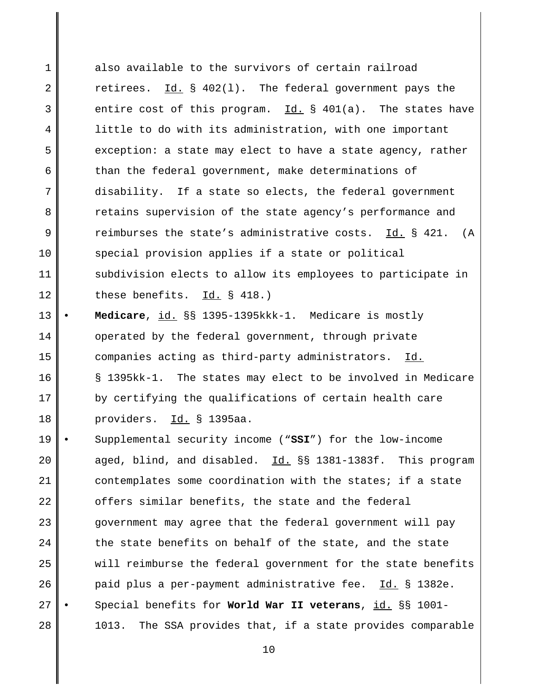1 2 3 4 5 6 7 8 9 10 11 12 also available to the survivors of certain railroad retirees.  $Id. \S$  402(1). The federal government pays the entire cost of this program.  $Id.$  § 401(a). The states have little to do with its administration, with one important exception: a state may elect to have a state agency, rather than the federal government, make determinations of disability. If a state so elects, the federal government retains supervision of the state agency's performance and reimburses the state's administrative costs. Id. § 421. (A special provision applies if a state or political subdivision elects to allow its employees to participate in these benefits. Id. § 418.)

13 14 15 16 17 18 • **Medicare**, id. §§ 1395-1395kkk-1. Medicare is mostly operated by the federal government, through private companies acting as third-party administrators. Id. § 1395kk-1. The states may elect to be involved in Medicare by certifying the qualifications of certain health care providers. Id. § 1395aa.

19 20 21 22 23  $2.4$ 25 26 27 28 • Supplemental security income ("**SSI**") for the low-income aged, blind, and disabled. Id. §§ 1381-1383f. This program contemplates some coordination with the states; if a state offers similar benefits, the state and the federal government may agree that the federal government will pay the state benefits on behalf of the state, and the state will reimburse the federal government for the state benefits paid plus a per-payment administrative fee. Id. § 1382e. • Special benefits for **World War II veterans**, id. §§ 1001- 1013. The SSA provides that, if a state provides comparable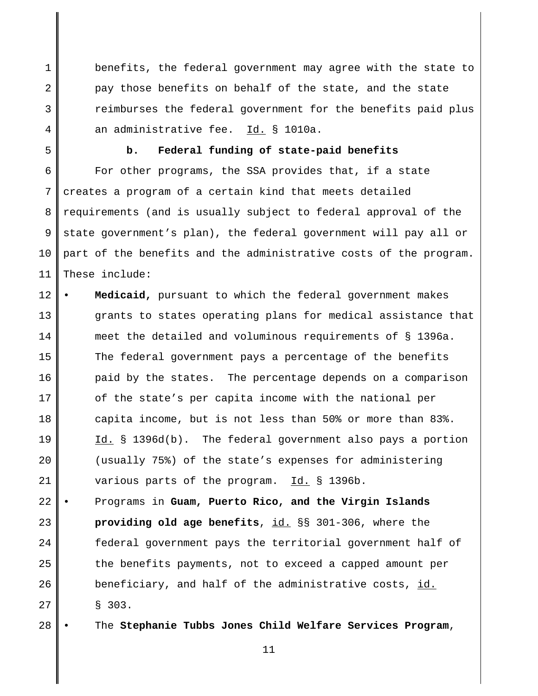benefits, the federal government may agree with the state to pay those benefits on behalf of the state, and the state reimburses the federal government for the benefits paid plus an administrative fee. Id. § 1010a.

5

4

1

2

3

#### **b. Federal funding of state-paid benefits**

6 7 8 9 10 11 For other programs, the SSA provides that, if a state creates a program of a certain kind that meets detailed requirements (and is usually subject to federal approval of the state government's plan), the federal government will pay all or part of the benefits and the administrative costs of the program. These include:

12 13 14 15 16 17 18 19 20 21 • **Medicaid,** pursuant to which the federal government makes grants to states operating plans for medical assistance that meet the detailed and voluminous requirements of § 1396a. The federal government pays a percentage of the benefits paid by the states. The percentage depends on a comparison of the state's per capita income with the national per capita income, but is not less than 50% or more than 83%.  $Id.$  § 1396d(b). The federal government also pays a portion (usually 75%) of the state's expenses for administering various parts of the program. Id. § 1396b.

22 23  $2.4$ 25 26 27 • Programs in **Guam, Puerto Rico, and the Virgin Islands providing old age benefits**, id. §§ 301-306, where the federal government pays the territorial government half of the benefits payments, not to exceed a capped amount per beneficiary, and half of the administrative costs, id. § 303.

28 • The **Stephanie Tubbs Jones Child Welfare Services Program**,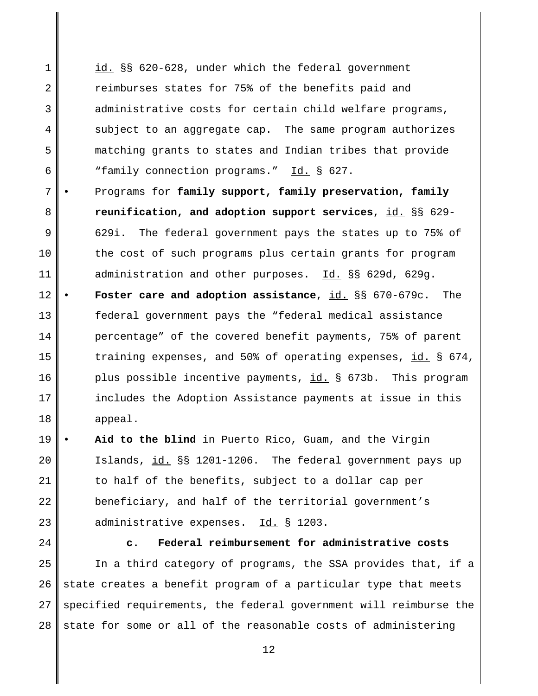1 2 3 4 5 6 id. §§ 620-628, under which the federal government reimburses states for 75% of the benefits paid and administrative costs for certain child welfare programs, subject to an aggregate cap. The same program authorizes matching grants to states and Indian tribes that provide "family connection programs." Id. § 627.

- 7 8 9 10 11 12 • Programs for **family support, family preservation, family reunification, and adoption support services**, id. §§ 629- 629i. The federal government pays the states up to 75% of the cost of such programs plus certain grants for program administration and other purposes. Id. §§ 629d, 629g. • **Foster care and adoption assistance**, id. §§ 670-679c. The
- 13 14 15 16 17 18 federal government pays the "federal medical assistance percentage" of the covered benefit payments, 75% of parent training expenses, and 50% of operating expenses, id. § 674, plus possible incentive payments, id. § 673b. This program includes the Adoption Assistance payments at issue in this appeal.
- 19 20 21 22 23 Aid to the blind in Puerto Rico, Guam, and the Virgin Islands, id. §§ 1201-1206. The federal government pays up to half of the benefits, subject to a dollar cap per beneficiary, and half of the territorial government's administrative expenses. Id. § 1203.
- 24

25 26 27 28 **c. Federal reimbursement for administrative costs** In a third category of programs, the SSA provides that, if a state creates a benefit program of a particular type that meets specified requirements, the federal government will reimburse the state for some or all of the reasonable costs of administering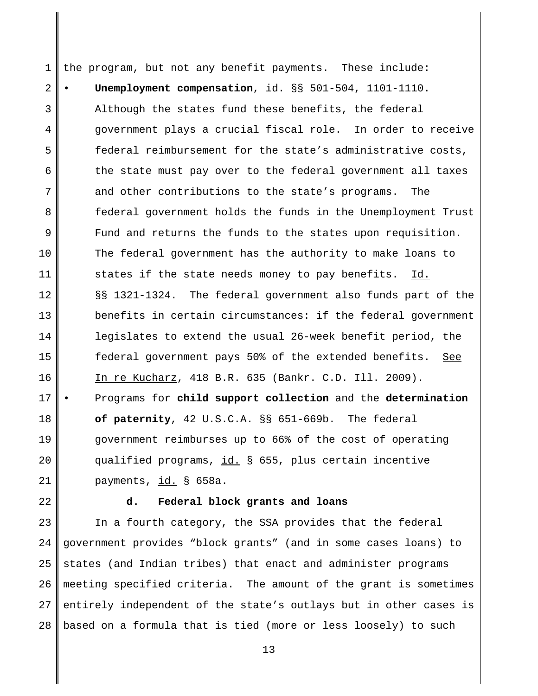1 2 3 4 5 6 7 8 9 10 11 12 13 14 15 16 17 18 19 20 21 the program, but not any benefit payments. These include: • **Unemployment compensation**, id. §§ 501-504, 1101-1110. Although the states fund these benefits, the federal government plays a crucial fiscal role. In order to receive federal reimbursement for the state's administrative costs, the state must pay over to the federal government all taxes and other contributions to the state's programs. The federal government holds the funds in the Unemployment Trust Fund and returns the funds to the states upon requisition. The federal government has the authority to make loans to states if the state needs money to pay benefits. Id. §§ 1321-1324. The federal government also funds part of the benefits in certain circumstances: if the federal government legislates to extend the usual 26-week benefit period, the federal government pays 50% of the extended benefits. See In re Kucharz, 418 B.R. 635 (Bankr. C.D. Ill. 2009). • Programs for **child support collection** and the **determination of paternity**, 42 U.S.C.A. §§ 651-669b. The federal government reimburses up to 66% of the cost of operating qualified programs, id. § 655, plus certain incentive payments, id. § 658a.

22

#### **d. Federal block grants and loans**

23 24 25 26 27 28 In a fourth category, the SSA provides that the federal government provides "block grants" (and in some cases loans) to states (and Indian tribes) that enact and administer programs meeting specified criteria. The amount of the grant is sometimes entirely independent of the state's outlays but in other cases is based on a formula that is tied (more or less loosely) to such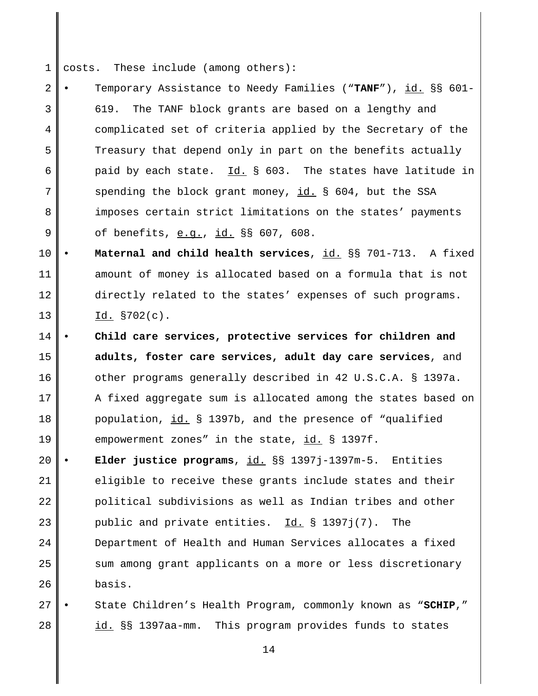1 costs. These include (among others):

2 3 4 5 6 7 8 9 • Temporary Assistance to Needy Families ("**TANF**"), id. §§ 601- 619. The TANF block grants are based on a lengthy and complicated set of criteria applied by the Secretary of the Treasury that depend only in part on the benefits actually paid by each state. Id. § 603. The states have latitude in spending the block grant money, id. § 604, but the SSA imposes certain strict limitations on the states' payments of benefits, e.g., id. §§ 607, 608.

10 11 12 13 • **Maternal and child health services**, id. §§ 701-713. A fixed amount of money is allocated based on a formula that is not directly related to the states' expenses of such programs. Id. §702(c).

14 15 16 17 18 19 • **Child care services, protective services for children and adults, foster care services, adult day care services**, and other programs generally described in 42 U.S.C.A. § 1397a. A fixed aggregate sum is allocated among the states based on population, id. § 1397b, and the presence of "qualified empowerment zones" in the state, id. § 1397f.

20 21 22 23 24 25 26 • **Elder justice programs**, id. §§ 1397j-1397m-5. Entities eligible to receive these grants include states and their political subdivisions as well as Indian tribes and other public and private entities. Id. § 1397j(7). The Department of Health and Human Services allocates a fixed sum among grant applicants on a more or less discretionary basis.

27 28 • State Children's Health Program, commonly known as "**SCHIP**," id. §§ 1397aa-mm. This program provides funds to states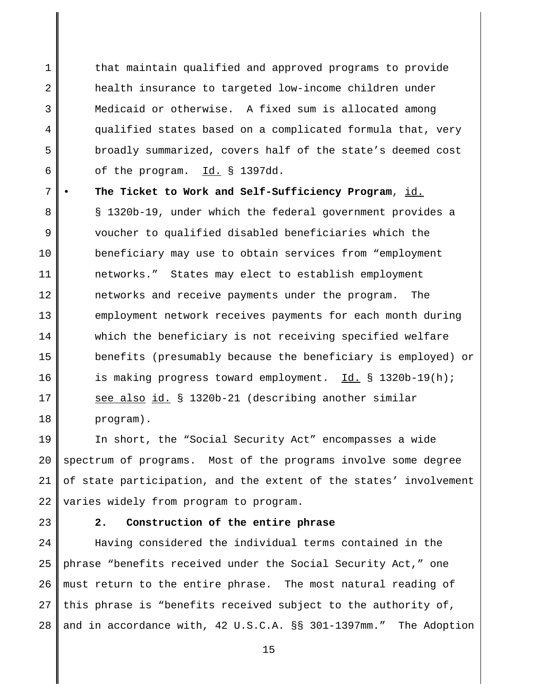1 2 3 4 5 6 that maintain qualified and approved programs to provide health insurance to targeted low-income children under Medicaid or otherwise. A fixed sum is allocated among qualified states based on a complicated formula that, very broadly summarized, covers half of the state's deemed cost of the program. Id. § 1397dd.

7 8 9 10 11 12 13 14 15 16 17 18 • **The Ticket to Work and Self-Sufficiency Program**, id. § 1320b-19, under which the federal government provides a voucher to qualified disabled beneficiaries which the beneficiary may use to obtain services from "employment networks." States may elect to establish employment networks and receive payments under the program. The employment network receives payments for each month during which the beneficiary is not receiving specified welfare benefits (presumably because the beneficiary is employed) or is making progress toward employment. Id. § 1320b-19(h); see also id. § 1320b-21 (describing another similar program).

19 20 21 22 In short, the "Social Security Act" encompasses a wide spectrum of programs. Most of the programs involve some degree of state participation, and the extent of the states' involvement varies widely from program to program.

23

### **2. Construction of the entire phrase**

 $2.4$ 25 26 27 28 Having considered the individual terms contained in the phrase "benefits received under the Social Security Act," one must return to the entire phrase. The most natural reading of this phrase is "benefits received subject to the authority of, and in accordance with, 42 U.S.C.A. §§ 301-1397mm." The Adoption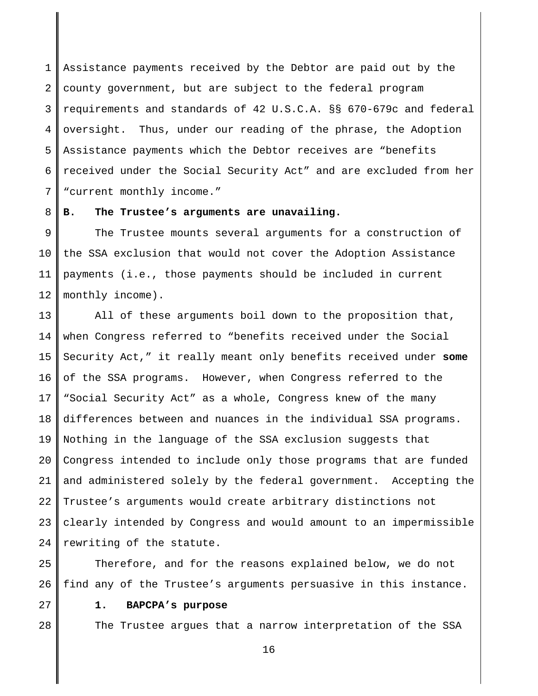1 2 3 4 5 6 7 Assistance payments received by the Debtor are paid out by the county government, but are subject to the federal program requirements and standards of 42 U.S.C.A. §§ 670-679c and federal oversight. Thus, under our reading of the phrase, the Adoption Assistance payments which the Debtor receives are "benefits received under the Social Security Act" and are excluded from her "current monthly income."

8 **B. The Trustee's arguments are unavailing.**

9 10 11 12 The Trustee mounts several arguments for a construction of the SSA exclusion that would not cover the Adoption Assistance payments (i.e., those payments should be included in current monthly income).

13 14 15 16 17 18 19 20 21 22 23  $2.4$ All of these arguments boil down to the proposition that, when Congress referred to "benefits received under the Social Security Act," it really meant only benefits received under **some** of the SSA programs. However, when Congress referred to the "Social Security Act" as a whole, Congress knew of the many differences between and nuances in the individual SSA programs. Nothing in the language of the SSA exclusion suggests that Congress intended to include only those programs that are funded and administered solely by the federal government. Accepting the Trustee's arguments would create arbitrary distinctions not clearly intended by Congress and would amount to an impermissible rewriting of the statute.

25 26 Therefore, and for the reasons explained below, we do not find any of the Trustee's arguments persuasive in this instance.

27

28

### **1. BAPCPA's purpose**

The Trustee argues that a narrow interpretation of the SSA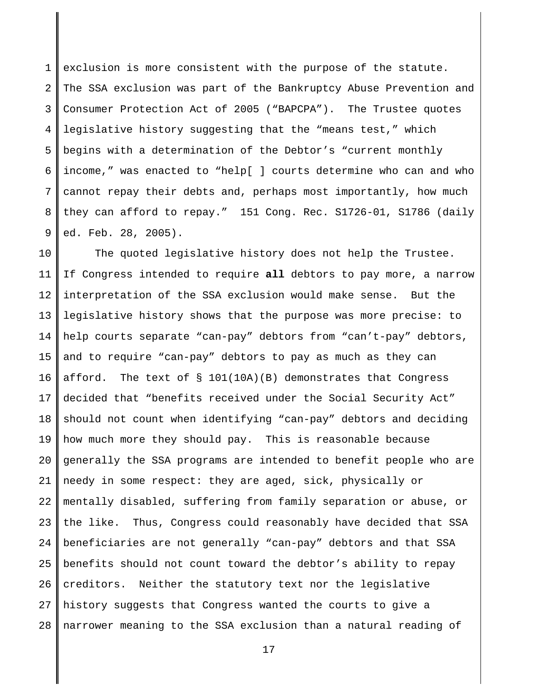1 2 3 4 5 6 7 8 9 exclusion is more consistent with the purpose of the statute. The SSA exclusion was part of the Bankruptcy Abuse Prevention and Consumer Protection Act of 2005 ("BAPCPA"). The Trustee quotes legislative history suggesting that the "means test," which begins with a determination of the Debtor's "current monthly income," was enacted to "help[ ] courts determine who can and who cannot repay their debts and, perhaps most importantly, how much they can afford to repay." 151 Cong. Rec. S1726-01, S1786 (daily ed. Feb. 28, 2005).

10 11 12 13 14 15 16 17 18 19 20 21 22 23 24 25 26 27 28 The quoted legislative history does not help the Trustee. If Congress intended to require **all** debtors to pay more, a narrow interpretation of the SSA exclusion would make sense. But the legislative history shows that the purpose was more precise: to help courts separate "can-pay" debtors from "can't-pay" debtors, and to require "can-pay" debtors to pay as much as they can afford. The text of  $\S$  101(10A)(B) demonstrates that Congress decided that "benefits received under the Social Security Act" should not count when identifying "can-pay" debtors and deciding how much more they should pay. This is reasonable because generally the SSA programs are intended to benefit people who are needy in some respect: they are aged, sick, physically or mentally disabled, suffering from family separation or abuse, or the like. Thus, Congress could reasonably have decided that SSA beneficiaries are not generally "can-pay" debtors and that SSA benefits should not count toward the debtor's ability to repay creditors. Neither the statutory text nor the legislative history suggests that Congress wanted the courts to give a narrower meaning to the SSA exclusion than a natural reading of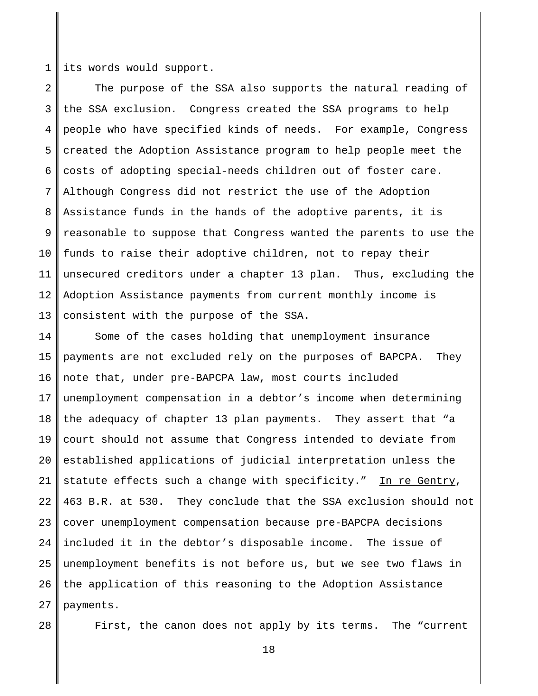1 its words would support.

2 3 4 5 6 7 8 9 10 11 12 13 The purpose of the SSA also supports the natural reading of the SSA exclusion. Congress created the SSA programs to help people who have specified kinds of needs. For example, Congress created the Adoption Assistance program to help people meet the costs of adopting special-needs children out of foster care. Although Congress did not restrict the use of the Adoption Assistance funds in the hands of the adoptive parents, it is reasonable to suppose that Congress wanted the parents to use the funds to raise their adoptive children, not to repay their unsecured creditors under a chapter 13 plan. Thus, excluding the Adoption Assistance payments from current monthly income is consistent with the purpose of the SSA.

14 15 16 17 18 19 20 21 22 23  $2.4$ 25 26 27 Some of the cases holding that unemployment insurance payments are not excluded rely on the purposes of BAPCPA. They note that, under pre-BAPCPA law, most courts included unemployment compensation in a debtor's income when determining the adequacy of chapter 13 plan payments. They assert that "a court should not assume that Congress intended to deviate from established applications of judicial interpretation unless the statute effects such a change with specificity." In re Gentry, 463 B.R. at 530. They conclude that the SSA exclusion should not cover unemployment compensation because pre-BAPCPA decisions included it in the debtor's disposable income. The issue of unemployment benefits is not before us, but we see two flaws in the application of this reasoning to the Adoption Assistance payments.

First, the canon does not apply by its terms. The "current

<sup>28</sup>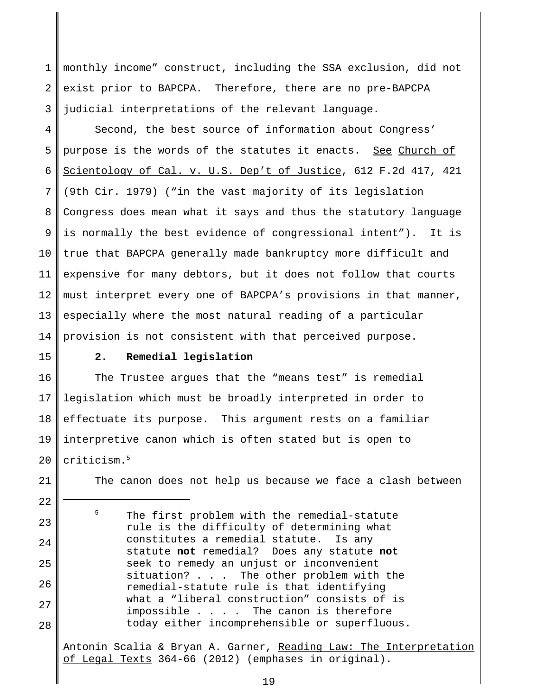1 2 3 monthly income" construct, including the SSA exclusion, did not exist prior to BAPCPA. Therefore, there are no pre-BAPCPA judicial interpretations of the relevant language.

4 5 6 7 8 9 10 11 12 13 14 Second, the best source of information about Congress' purpose is the words of the statutes it enacts. See Church of Scientology of Cal. v. U.S. Dep't of Justice, 612 F.2d 417, 421 (9th Cir. 1979) ("in the vast majority of its legislation Congress does mean what it says and thus the statutory language is normally the best evidence of congressional intent"). It is true that BAPCPA generally made bankruptcy more difficult and expensive for many debtors, but it does not follow that courts must interpret every one of BAPCPA's provisions in that manner, especially where the most natural reading of a particular provision is not consistent with that perceived purpose.

15

21

22

23

 $2.4$ 

25

26

27

28

### **2. Remedial legislation**

16 17 18 19 20 The Trustee argues that the "means test" is remedial legislation which must be broadly interpreted in order to effectuate its purpose. This argument rests on a familiar interpretive canon which is often stated but is open to criticism.5

The canon does not help us because we face a clash between

<sup>5</sup> The first problem with the remedial-statute rule is the difficulty of determining what constitutes a remedial statute. Is any statute **not** remedial? Does any statute **not** seek to remedy an unjust or inconvenient situation? . . . The other problem with the remedial-statute rule is that identifying what a "liberal construction" consists of is impossible . . . . The canon is therefore today either incomprehensible or superfluous.

Antonin Scalia & Bryan A. Garner, Reading Law: The Interpretation of Legal Texts 364-66 (2012) (emphases in original).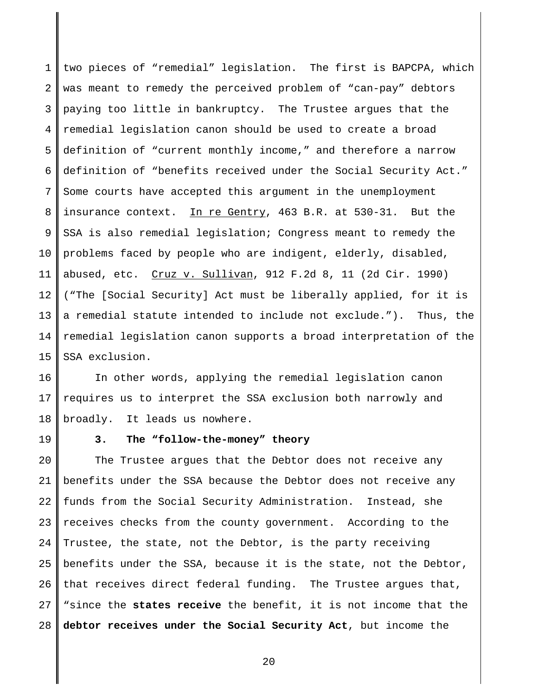1 2 3 4 5 6 7 8 9 10 11 12 13 14 15 two pieces of "remedial" legislation. The first is BAPCPA, which was meant to remedy the perceived problem of "can-pay" debtors paying too little in bankruptcy. The Trustee argues that the remedial legislation canon should be used to create a broad definition of "current monthly income," and therefore a narrow definition of "benefits received under the Social Security Act." Some courts have accepted this argument in the unemployment insurance context. In re Gentry, 463 B.R. at 530-31. But the SSA is also remedial legislation; Congress meant to remedy the problems faced by people who are indigent, elderly, disabled, abused, etc. Cruz v. Sullivan, 912 F.2d 8, 11 (2d Cir. 1990) ("The [Social Security] Act must be liberally applied, for it is a remedial statute intended to include not exclude."). Thus, the remedial legislation canon supports a broad interpretation of the SSA exclusion.

16 17 18 In other words, applying the remedial legislation canon requires us to interpret the SSA exclusion both narrowly and broadly. It leads us nowhere.

19

## **3. The "follow-the-money" theory**

20 21 22 23  $2.4$ 25 26 27 28 The Trustee argues that the Debtor does not receive any benefits under the SSA because the Debtor does not receive any funds from the Social Security Administration. Instead, she receives checks from the county government. According to the Trustee, the state, not the Debtor, is the party receiving benefits under the SSA, because it is the state, not the Debtor, that receives direct federal funding. The Trustee argues that, "since the **states receive** the benefit, it is not income that the **debtor receives under the Social Security Act**, but income the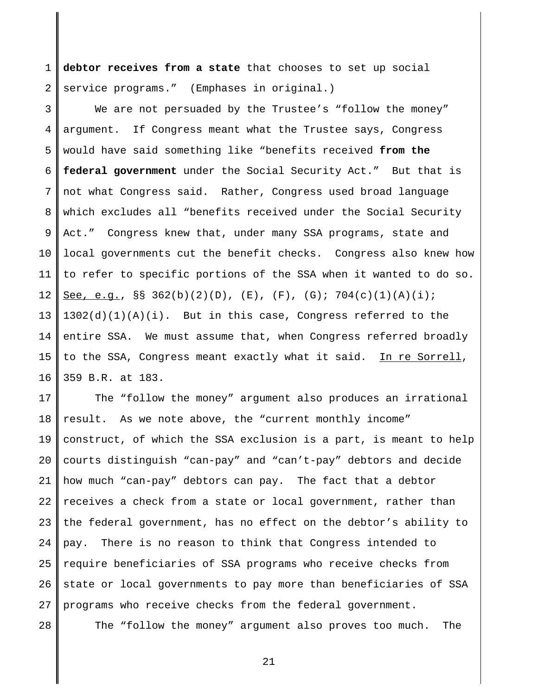1 2 **debtor receives from a state** that chooses to set up social service programs." (Emphases in original.)

3 4 5 6 7 8 9 10 11 12 13 14 15 16 We are not persuaded by the Trustee's "follow the money" argument. If Congress meant what the Trustee says, Congress would have said something like "benefits received **from the federal government** under the Social Security Act." But that is not what Congress said. Rather, Congress used broad language which excludes all "benefits received under the Social Security Act." Congress knew that, under many SSA programs, state and local governments cut the benefit checks. Congress also knew how to refer to specific portions of the SSA when it wanted to do so. See, e.g.,  $\S$  362(b)(2)(D), (E), (F), (G); 704(c)(1)(A)(i);  $1302(d)(1)(A)(i)$ . But in this case, Congress referred to the entire SSA. We must assume that, when Congress referred broadly to the SSA, Congress meant exactly what it said. In re Sorrell, 359 B.R. at 183.

17 18 19 20 21 22 23  $2.4$ 25 26 27 The "follow the money" argument also produces an irrational result. As we note above, the "current monthly income" construct, of which the SSA exclusion is a part, is meant to help courts distinguish "can-pay" and "can't-pay" debtors and decide how much "can-pay" debtors can pay. The fact that a debtor receives a check from a state or local government, rather than the federal government, has no effect on the debtor's ability to pay. There is no reason to think that Congress intended to require beneficiaries of SSA programs who receive checks from state or local governments to pay more than beneficiaries of SSA programs who receive checks from the federal government.

28

The "follow the money" argument also proves too much. The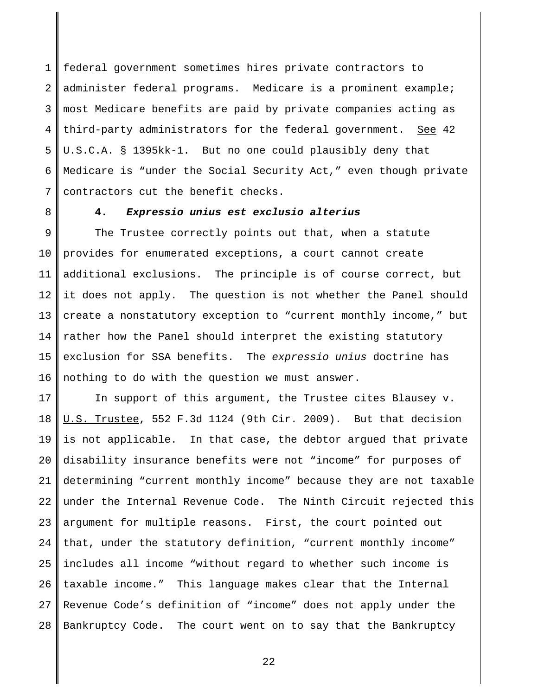1 2 3 4 5 6 7 federal government sometimes hires private contractors to administer federal programs. Medicare is a prominent example; most Medicare benefits are paid by private companies acting as third-party administrators for the federal government. See 42 U.S.C.A. § 1395kk-1. But no one could plausibly deny that Medicare is "under the Social Security Act," even though private contractors cut the benefit checks.

8

### **4.** *Expressio unius est exclusio alterius*

9 10 11 12 13 14 15 16 The Trustee correctly points out that, when a statute provides for enumerated exceptions, a court cannot create additional exclusions. The principle is of course correct, but it does not apply. The question is not whether the Panel should create a nonstatutory exception to "current monthly income," but rather how the Panel should interpret the existing statutory exclusion for SSA benefits. The *expressio unius* doctrine has nothing to do with the question we must answer.

17 18 19 20 21 22 23 24 25 26 27 28 In support of this argument, the Trustee cites Blausey v. U.S. Trustee, 552 F.3d 1124 (9th Cir. 2009). But that decision is not applicable. In that case, the debtor argued that private disability insurance benefits were not "income" for purposes of determining "current monthly income" because they are not taxable under the Internal Revenue Code. The Ninth Circuit rejected this argument for multiple reasons. First, the court pointed out that, under the statutory definition, "current monthly income" includes all income "without regard to whether such income is taxable income." This language makes clear that the Internal Revenue Code's definition of "income" does not apply under the Bankruptcy Code. The court went on to say that the Bankruptcy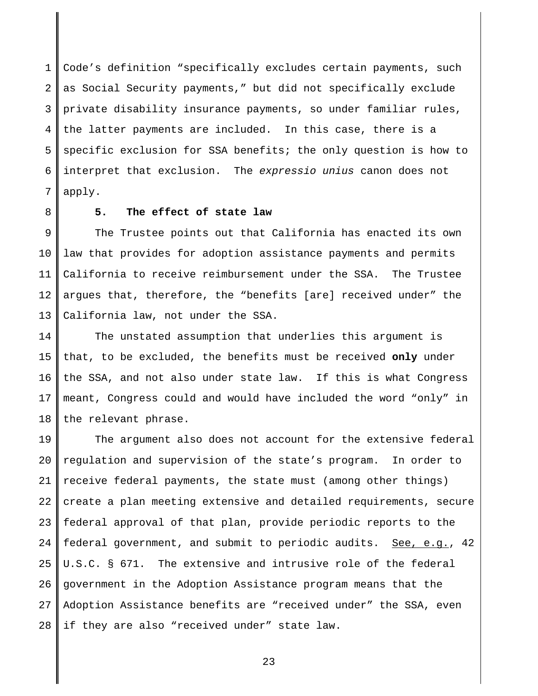1 2 3 4 5 6 7 Code's definition "specifically excludes certain payments, such as Social Security payments," but did not specifically exclude private disability insurance payments, so under familiar rules, the latter payments are included. In this case, there is a specific exclusion for SSA benefits; the only question is how to interpret that exclusion. The *expressio unius* canon does not apply.

8

### **5. The effect of state law**

9 10 11 12 13 The Trustee points out that California has enacted its own law that provides for adoption assistance payments and permits California to receive reimbursement under the SSA. The Trustee argues that, therefore, the "benefits [are] received under" the California law, not under the SSA.

14 15 16 17 18 The unstated assumption that underlies this argument is that, to be excluded, the benefits must be received **only** under the SSA, and not also under state law. If this is what Congress meant, Congress could and would have included the word "only" in the relevant phrase.

19 20 21 22 23  $2.4$ 25 26 27 28 The argument also does not account for the extensive federal regulation and supervision of the state's program. In order to receive federal payments, the state must (among other things) create a plan meeting extensive and detailed requirements, secure federal approval of that plan, provide periodic reports to the federal government, and submit to periodic audits. See, e.g., 42 U.S.C. § 671. The extensive and intrusive role of the federal government in the Adoption Assistance program means that the Adoption Assistance benefits are "received under" the SSA, even if they are also "received under" state law.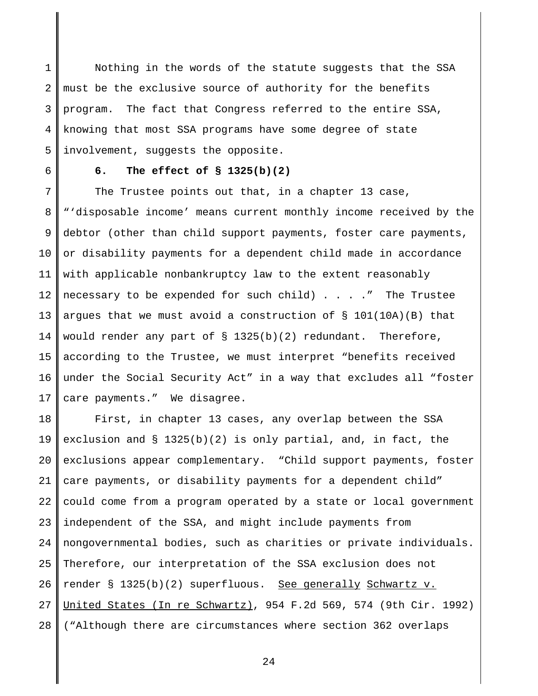1 2 3 4 5 Nothing in the words of the statute suggests that the SSA must be the exclusive source of authority for the benefits program. The fact that Congress referred to the entire SSA, knowing that most SSA programs have some degree of state involvement, suggests the opposite.

6

## **6. The effect of § 1325(b)(2)**

7 8 9 10 11 12 13 14 15 16 17 The Trustee points out that, in a chapter 13 case, "'disposable income' means current monthly income received by the debtor (other than child support payments, foster care payments, or disability payments for a dependent child made in accordance with applicable nonbankruptcy law to the extent reasonably necessary to be expended for such child) . . . ." The Trustee argues that we must avoid a construction of  $\S$  101(10A)(B) that would render any part of  $\S$  1325(b)(2) redundant. Therefore, according to the Trustee, we must interpret "benefits received under the Social Security Act" in a way that excludes all "foster care payments." We disagree.

18 19 20 21 22 23  $2.4$ 25 26 27 28 First, in chapter 13 cases, any overlap between the SSA exclusion and § 1325(b)(2) is only partial, and, in fact, the exclusions appear complementary. "Child support payments, foster care payments, or disability payments for a dependent child" could come from a program operated by a state or local government independent of the SSA, and might include payments from nongovernmental bodies, such as charities or private individuals. Therefore, our interpretation of the SSA exclusion does not render § 1325(b)(2) superfluous. See generally Schwartz v. United States (In re Schwartz), 954 F.2d 569, 574 (9th Cir. 1992) ("Although there are circumstances where section 362 overlaps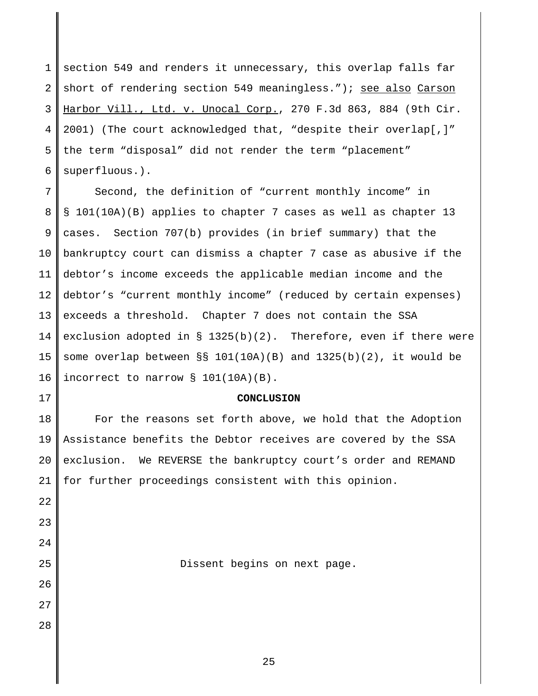1 2 3 4 5 6 section 549 and renders it unnecessary, this overlap falls far short of rendering section 549 meaningless."); see also Carson Harbor Vill., Ltd. v. Unocal Corp., 270 F.3d 863, 884 (9th Cir. 2001) (The court acknowledged that, "despite their overlap[,]" the term "disposal" did not render the term "placement" superfluous.).

7 8 9 10 11 12 13 14 15 16 Second, the definition of "current monthly income" in § 101(10A)(B) applies to chapter 7 cases as well as chapter 13 cases. Section 707(b) provides (in brief summary) that the bankruptcy court can dismiss a chapter 7 case as abusive if the debtor's income exceeds the applicable median income and the debtor's "current monthly income" (reduced by certain expenses) exceeds a threshold. Chapter 7 does not contain the SSA exclusion adopted in § 1325(b)(2). Therefore, even if there were some overlap between §§ 101(10A)(B) and 1325(b)(2), it would be incorrect to narrow § 101(10A)(B).

#### **CONCLUSION**

18 19 20 21 For the reasons set forth above, we hold that the Adoption Assistance benefits the Debtor receives are covered by the SSA exclusion. We REVERSE the bankruptcy court's order and REMAND for further proceedings consistent with this opinion.

22

17

- 23
- $2.4$ 25

26

27

28

Dissent begins on next page.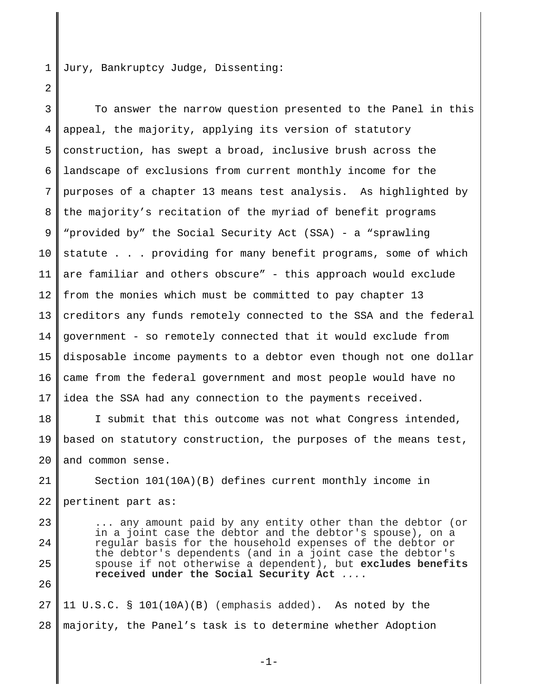1 Jury, Bankruptcy Judge, Dissenting:

2

3 4 5 6 7 8 9 10 11 12 13 14 15 16 17 To answer the narrow question presented to the Panel in this appeal, the majority, applying its version of statutory construction, has swept a broad, inclusive brush across the landscape of exclusions from current monthly income for the purposes of a chapter 13 means test analysis. As highlighted by the majority's recitation of the myriad of benefit programs "provided by" the Social Security Act (SSA) - a "sprawling statute . . . providing for many benefit programs, some of which are familiar and others obscure" - this approach would exclude from the monies which must be committed to pay chapter 13 creditors any funds remotely connected to the SSA and the federal government - so remotely connected that it would exclude from disposable income payments to a debtor even though not one dollar came from the federal government and most people would have no idea the SSA had any connection to the payments received.

18 19 20 I submit that this outcome was not what Congress intended, based on statutory construction, the purposes of the means test, and common sense.

21 22 Section 101(10A)(B) defines current monthly income in pertinent part as:

23  $2.4$ 25 26 ... any amount paid by any entity other than the debtor (or in a joint case the debtor and the debtor's spouse), on a regular basis for the household expenses of the debtor or the debtor's dependents (and in a joint case the debtor's spouse if not otherwise a dependent), but **excludes benefits received under the Social Security Act** *...*.

27 28 11 U.S.C. § 101(10A)(B) (emphasis added). As noted by the majority, the Panel's task is to determine whether Adoption

-1-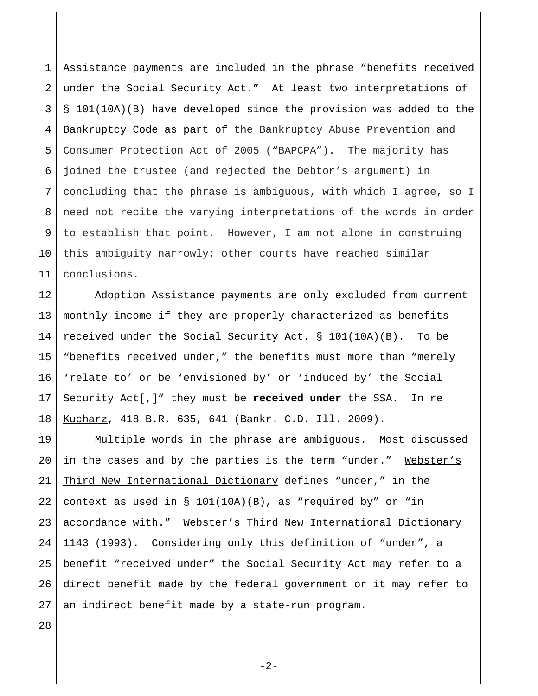1 2 3 4 5 6 7 8 9 10 11 Assistance payments are included in the phrase "benefits received under the Social Security Act." At least two interpretations of § 101(10A)(B) have developed since the provision was added to the Bankruptcy Code as part of the Bankruptcy Abuse Prevention and Consumer Protection Act of 2005 ("BAPCPA"). The majority has joined the trustee (and rejected the Debtor's argument) in concluding that the phrase is ambiguous, with which I agree, so I need not recite the varying interpretations of the words in order to establish that point. However, I am not alone in construing this ambiguity narrowly; other courts have reached similar conclusions.

12 13 14 15 16 17 18 Adoption Assistance payments are only excluded from current monthly income if they are properly characterized as benefits received under the Social Security Act. § 101(10A)(B). To be "benefits received under," the benefits must more than "merely 'relate to' or be 'envisioned by' or 'induced by' the Social Security Act[,]" they must be **received under** the SSA. In re Kucharz, 418 B.R. 635, 641 (Bankr. C.D. Ill. 2009).

19 20 21 22 23 24 25 26 27 Multiple words in the phrase are ambiguous. Most discussed in the cases and by the parties is the term "under." Webster's Third New International Dictionary defines "under," in the context as used in  $\S$  101(10A)(B), as "required by" or "in accordance with." Webster's Third New International Dictionary 1143 (1993). Considering only this definition of "under", a benefit "received under" the Social Security Act may refer to a direct benefit made by the federal government or it may refer to an indirect benefit made by a state-run program.

28

 $-2-$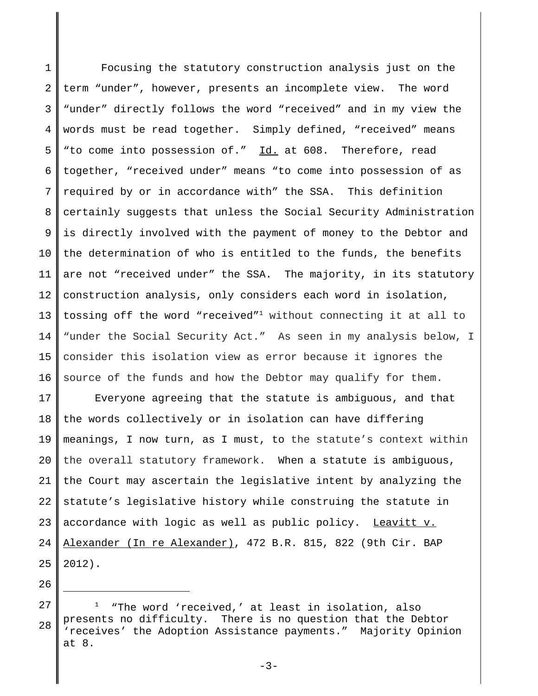1 2 3 4 5 6 7 8 9 10 11 12 13 14 15 16 Focusing the statutory construction analysis just on the term "under", however, presents an incomplete view. The word "under" directly follows the word "received" and in my view the words must be read together. Simply defined, "received" means "to come into possession of." Id. at 608. Therefore, read together, "received under" means "to come into possession of as required by or in accordance with" the SSA. This definition certainly suggests that unless the Social Security Administration is directly involved with the payment of money to the Debtor and the determination of who is entitled to the funds, the benefits are not "received under" the SSA. The majority, in its statutory construction analysis, only considers each word in isolation, tossing off the word "received"1 without connecting it at all to "under the Social Security Act." As seen in my analysis below, I consider this isolation view as error because it ignores the source of the funds and how the Debtor may qualify for them.

17 18 19 20 21 22 23 24 25 Everyone agreeing that the statute is ambiguous, and that the words collectively or in isolation can have differing meanings, I now turn, as I must, to the statute's context within the overall statutory framework. When a statute is ambiguous, the Court may ascertain the legislative intent by analyzing the statute's legislative history while construing the statute in accordance with logic as well as public policy. Leavitt v. Alexander (In re Alexander), 472 B.R. 815, 822 (9th Cir. BAP 2012).

<sup>27</sup> 28 1 "The word 'received,' at least in isolation, also presents no difficulty. There is no question that the Debtor 'receives' the Adoption Assistance payments." Majority Opinion at 8.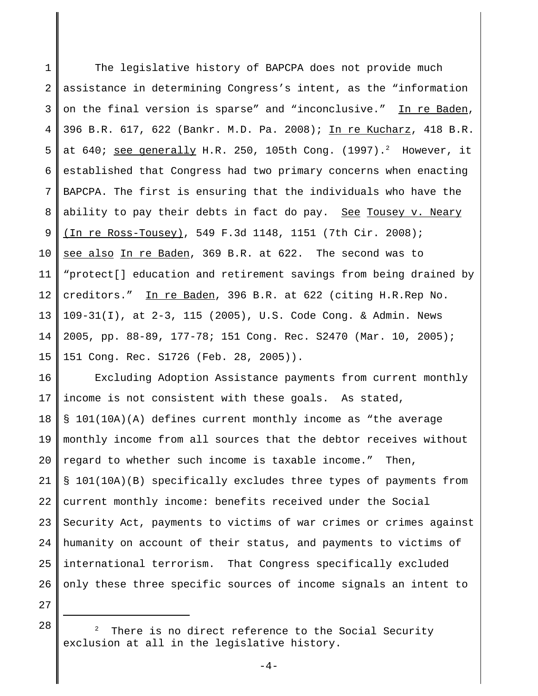1 2 3 4 5 6 7 8 9 10 11 12 13 14 15 The legislative history of BAPCPA does not provide much assistance in determining Congress's intent, as the "information on the final version is sparse" and "inconclusive." In re Baden, 396 B.R. 617, 622 (Bankr. M.D. Pa. 2008); In re Kucharz, 418 B.R. at 640; <u>see generally</u> H.R. 250, 105th Cong. (1997).<sup>2</sup> However, it established that Congress had two primary concerns when enacting BAPCPA. The first is ensuring that the individuals who have the ability to pay their debts in fact do pay. See Tousey v. Neary (In re Ross-Tousey), 549 F.3d 1148, 1151 (7th Cir. 2008); see also In re Baden, 369 B.R. at 622. The second was to "protect[] education and retirement savings from being drained by creditors." In re Baden, 396 B.R. at 622 (citing H.R.Rep No. 109-31(I), at 2-3, 115 (2005), U.S. Code Cong. & Admin. News 2005, pp. 88-89, 177-78; 151 Cong. Rec. S2470 (Mar. 10, 2005); 151 Cong. Rec. S1726 (Feb. 28, 2005)).

16 17 18 19 20 21 22 23  $2.4$ 25 26 Excluding Adoption Assistance payments from current monthly income is not consistent with these goals. As stated, § 101(10A)(A) defines current monthly income as "the average monthly income from all sources that the debtor receives without regard to whether such income is taxable income." Then, § 101(10A)(B) specifically excludes three types of payments from current monthly income: benefits received under the Social Security Act, payments to victims of war crimes or crimes against humanity on account of their status, and payments to victims of international terrorism. That Congress specifically excluded only these three specific sources of income signals an intent to

27

There is no direct reference to the Social Security exclusion at all in the legislative history.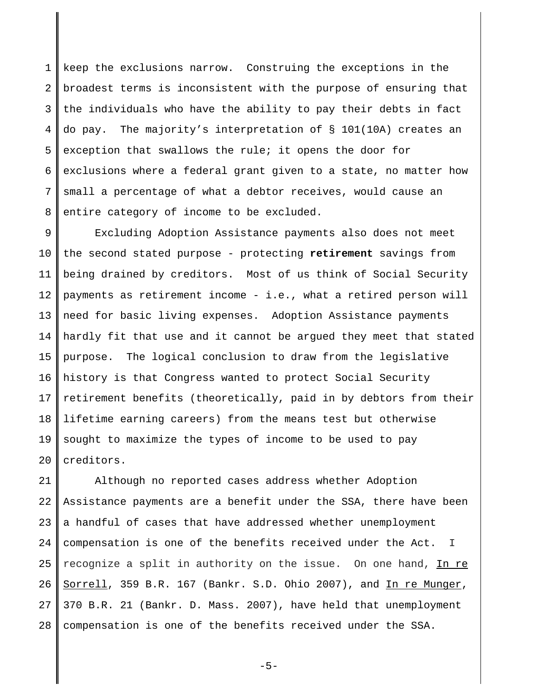1 2 3 4 5 6 7 8 keep the exclusions narrow. Construing the exceptions in the broadest terms is inconsistent with the purpose of ensuring that the individuals who have the ability to pay their debts in fact do pay. The majority's interpretation of § 101(10A) creates an exception that swallows the rule; it opens the door for exclusions where a federal grant given to a state, no matter how small a percentage of what a debtor receives, would cause an entire category of income to be excluded.

9 10 11 12 13 14 15 16 17 18 19 20 Excluding Adoption Assistance payments also does not meet the second stated purpose - protecting **retirement** savings from being drained by creditors. Most of us think of Social Security payments as retirement income - i.e., what a retired person will need for basic living expenses. Adoption Assistance payments hardly fit that use and it cannot be argued they meet that stated purpose. The logical conclusion to draw from the legislative history is that Congress wanted to protect Social Security retirement benefits (theoretically, paid in by debtors from their lifetime earning careers) from the means test but otherwise sought to maximize the types of income to be used to pay creditors.

21 22 23 24 25 26 27 28 Although no reported cases address whether Adoption Assistance payments are a benefit under the SSA, there have been a handful of cases that have addressed whether unemployment compensation is one of the benefits received under the Act. I recognize a split in authority on the issue. On one hand, In re Sorrell, 359 B.R. 167 (Bankr. S.D. Ohio 2007), and In re Munger, 370 B.R. 21 (Bankr. D. Mass. 2007), have held that unemployment compensation is one of the benefits received under the SSA.

-5-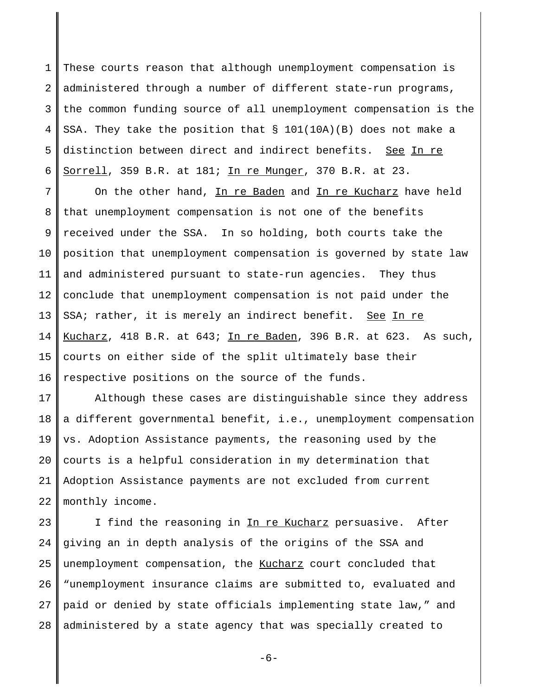1 2 3 4 5 6 These courts reason that although unemployment compensation is administered through a number of different state-run programs, the common funding source of all unemployment compensation is the SSA. They take the position that § 101(10A)(B) does not make a distinction between direct and indirect benefits. See In re Sorrell, 359 B.R. at 181; In re Munger, 370 B.R. at 23.

7 8 9 10 11 12 13 14 15 16 On the other hand, In re Baden and In re Kucharz have held that unemployment compensation is not one of the benefits received under the SSA. In so holding, both courts take the position that unemployment compensation is governed by state law and administered pursuant to state-run agencies. They thus conclude that unemployment compensation is not paid under the SSA; rather, it is merely an indirect benefit. See In re Kucharz, 418 B.R. at 643; In re Baden, 396 B.R. at 623. As such, courts on either side of the split ultimately base their respective positions on the source of the funds.

17 18 19 20 21 22 Although these cases are distinguishable since they address a different governmental benefit, i.e., unemployment compensation vs. Adoption Assistance payments, the reasoning used by the courts is a helpful consideration in my determination that Adoption Assistance payments are not excluded from current monthly income.

23 24 25 26 27 28 I find the reasoning in In re Kucharz persuasive. After giving an in depth analysis of the origins of the SSA and unemployment compensation, the Kucharz court concluded that "unemployment insurance claims are submitted to, evaluated and paid or denied by state officials implementing state law," and administered by a state agency that was specially created to

-6-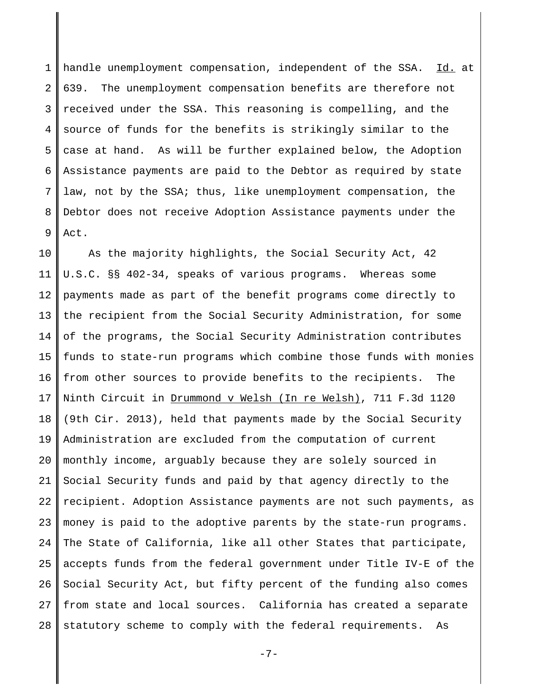1 2 3 4 5 6 7 8 9 handle unemployment compensation, independent of the SSA. Id. at 639. The unemployment compensation benefits are therefore not received under the SSA. This reasoning is compelling, and the source of funds for the benefits is strikingly similar to the case at hand. As will be further explained below, the Adoption Assistance payments are paid to the Debtor as required by state law, not by the SSA; thus, like unemployment compensation, the Debtor does not receive Adoption Assistance payments under the Act.

10 11 12 13 14 15 16 17 18 19 20 21 22 23 24 25 26 27 28 As the majority highlights, the Social Security Act, 42 U.S.C. §§ 402-34, speaks of various programs. Whereas some payments made as part of the benefit programs come directly to the recipient from the Social Security Administration, for some of the programs, the Social Security Administration contributes funds to state-run programs which combine those funds with monies from other sources to provide benefits to the recipients. The Ninth Circuit in Drummond v Welsh (In re Welsh), 711 F.3d 1120 (9th Cir. 2013), held that payments made by the Social Security Administration are excluded from the computation of current monthly income, arguably because they are solely sourced in Social Security funds and paid by that agency directly to the recipient. Adoption Assistance payments are not such payments, as money is paid to the adoptive parents by the state-run programs. The State of California, like all other States that participate, accepts funds from the federal government under Title IV-E of the Social Security Act, but fifty percent of the funding also comes from state and local sources. California has created a separate statutory scheme to comply with the federal requirements. As

-7-